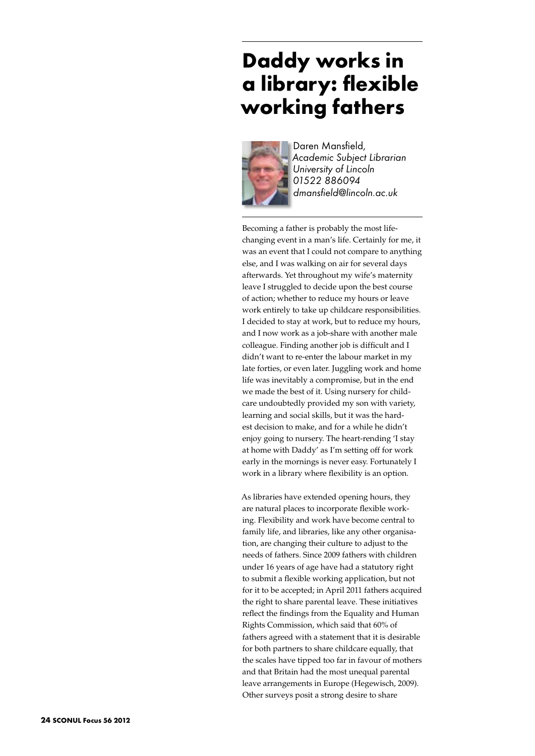## **Daddy works in a library: flexible working fathers**



Daren Mansfield, *Academic Subject Librarian University of Lincoln 01522 886094 dmansfield@lincoln.ac.uk*

Becoming a father is probably the most lifechanging event in a man's life. Certainly for me, it was an event that I could not compare to anything else, and I was walking on air for several days afterwards. Yet throughout my wife's maternity leave I struggled to decide upon the best course of action; whether to reduce my hours or leave work entirely to take up childcare responsibilities. I decided to stay at work, but to reduce my hours, and I now work as a job-share with another male colleague. Finding another job is difficult and I didn't want to re-enter the labour market in my late forties, or even later. Juggling work and home life was inevitably a compromise, but in the end we made the best of it. Using nursery for childcare undoubtedly provided my son with variety, learning and social skills, but it was the hardest decision to make, and for a while he didn't enjoy going to nursery. The heart-rending 'I stay at home with Daddy' as I'm setting off for work early in the mornings is never easy. Fortunately I work in a library where flexibility is an option.

As libraries have extended opening hours, they are natural places to incorporate flexible working. Flexibility and work have become central to family life, and libraries, like any other organisation, are changing their culture to adjust to the needs of fathers. Since 2009 fathers with children under 16 years of age have had a statutory right to submit a flexible working application, but not for it to be accepted; in April 2011 fathers acquired the right to share parental leave. These initiatives reflect the findings from the Equality and Human Rights Commission, which said that 60% of fathers agreed with a statement that it is desirable for both partners to share childcare equally, that the scales have tipped too far in favour of mothers and that Britain had the most unequal parental leave arrangements in Europe (Hegewisch, 2009). Other surveys posit a strong desire to share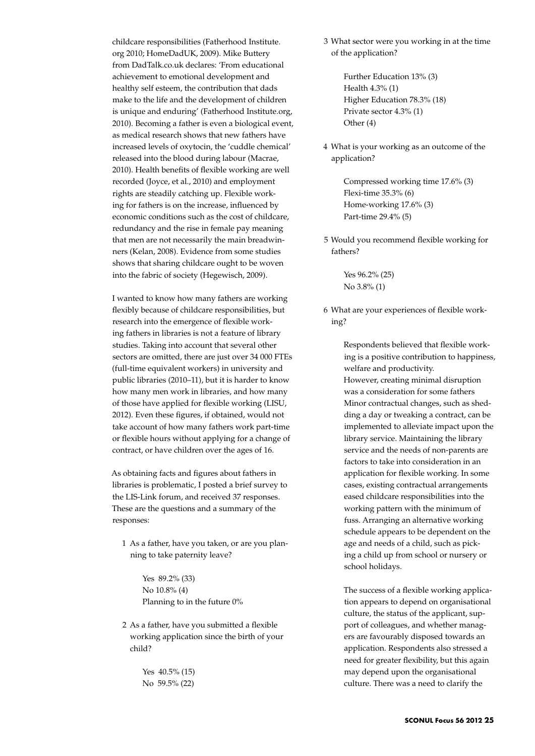childcare responsibilities (Fatherhood Institute. org 2010; HomeDadUK, 2009). Mike Buttery from DadTalk.co.uk declares: 'From educational achievement to emotional development and healthy self esteem, the contribution that dads make to the life and the development of children is unique and enduring' (Fatherhood Institute.org, 2010). Becoming a father is even a biological event, as medical research shows that new fathers have increased levels of oxytocin, the 'cuddle chemical' released into the blood during labour (Macrae, 2010). Health benefits of flexible working are well recorded (Joyce, et al., 2010) and employment rights are steadily catching up. Flexible working for fathers is on the increase, influenced by economic conditions such as the cost of childcare, redundancy and the rise in female pay meaning that men are not necessarily the main breadwinners (Kelan, 2008). Evidence from some studies shows that sharing childcare ought to be woven into the fabric of society (Hegewisch, 2009).

I wanted to know how many fathers are working flexibly because of childcare responsibilities, but research into the emergence of flexible working fathers in libraries is not a feature of library studies. Taking into account that several other sectors are omitted, there are just over 34 000 FTEs (full-time equivalent workers) in university and public libraries (2010–11), but it is harder to know how many men work in libraries, and how many of those have applied for flexible working (LISU, 2012). Even these figures, if obtained, would not take account of how many fathers work part-time or flexible hours without applying for a change of contract, or have children over the ages of 16.

As obtaining facts and figures about fathers in libraries is problematic, I posted a brief survey to the LIS-Link forum, and received 37 responses. These are the questions and a summary of the responses:

1 As a father, have you taken, or are you planning to take paternity leave?

> Yes 89.2% (33) No 10.8% (4) Planning to in the future 0%

2 As a father, have you submitted a flexible working application since the birth of your child?

> Yes 40.5% (15) No 59.5% (22)

3 What sector were you working in at the time of the application?

> Further Education 13% (3) Health 4.3% (1) Higher Education 78.3% (18) Private sector 4.3% (1) Other (4)

4 What is your working as an outcome of the application?

> Compressed working time 17.6% (3) Flexi-time 35.3% (6) Home-working 17.6% (3) Part-time 29.4% (5)

5 Would you recommend flexible working for fathers?

> Yes 96.2% (25) No 3.8% (1)

6 What are your experiences of flexible working?

> Respondents believed that flexible working is a positive contribution to happiness, welfare and productivity. However, creating minimal disruption was a consideration for some fathers Minor contractual changes, such as shedding a day or tweaking a contract, can be implemented to alleviate impact upon the library service. Maintaining the library service and the needs of non-parents are factors to take into consideration in an application for flexible working. In some cases, existing contractual arrangements eased childcare responsibilities into the working pattern with the minimum of fuss. Arranging an alternative working schedule appears to be dependent on the age and needs of a child, such as picking a child up from school or nursery or school holidays.

The success of a flexible working application appears to depend on organisational culture, the status of the applicant, support of colleagues, and whether managers are favourably disposed towards an application. Respondents also stressed a need for greater flexibility, but this again may depend upon the organisational culture. There was a need to clarify the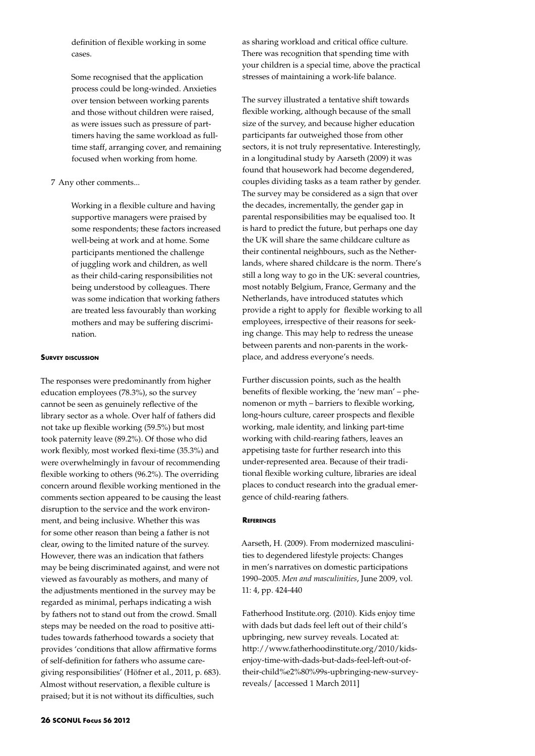definition of flexible working in some cases.

Some recognised that the application process could be long-winded. Anxieties over tension between working parents and those without children were raised, as were issues such as pressure of parttimers having the same workload as fulltime staff, arranging cover, and remaining focused when working from home.

## 7 Any other comments...

Working in a flexible culture and having supportive managers were praised by some respondents; these factors increased well-being at work and at home. Some participants mentioned the challenge of juggling work and children, as well as their child-caring responsibilities not being understood by colleagues. There was some indication that working fathers are treated less favourably than working mothers and may be suffering discrimination.

## **Survey discussion**

The responses were predominantly from higher education employees (78.3%), so the survey cannot be seen as genuinely reflective of the library sector as a whole. Over half of fathers did not take up flexible working (59.5%) but most took paternity leave (89.2%). Of those who did work flexibly, most worked flexi-time (35.3%) and were overwhelmingly in favour of recommending flexible working to others (96.2%). The overriding concern around flexible working mentioned in the comments section appeared to be causing the least disruption to the service and the work environment, and being inclusive. Whether this was for some other reason than being a father is not clear, owing to the limited nature of the survey. However, there was an indication that fathers may be being discriminated against, and were not viewed as favourably as mothers, and many of the adjustments mentioned in the survey may be regarded as minimal, perhaps indicating a wish by fathers not to stand out from the crowd. Small steps may be needed on the road to positive attitudes towards fatherhood towards a society that provides 'conditions that allow affirmative forms of self-definition for fathers who assume caregiving responsibilities' (Höfner et al., 2011, p. 683). Almost without reservation, a flexible culture is praised; but it is not without its difficulties, such

as sharing workload and critical office culture. There was recognition that spending time with your children is a special time, above the practical stresses of maintaining a work-life balance.

The survey illustrated a tentative shift towards flexible working, although because of the small size of the survey, and because higher education participants far outweighed those from other sectors, it is not truly representative. Interestingly, in a longitudinal study by Aarseth (2009) it was found that housework had become degendered, couples dividing tasks as a team rather by gender. The survey may be considered as a sign that over the decades, incrementally, the gender gap in parental responsibilities may be equalised too. It is hard to predict the future, but perhaps one day the UK will share the same childcare culture as their continental neighbours, such as the Netherlands, where shared childcare is the norm. There's still a long way to go in the UK: several countries, most notably Belgium, France, Germany and the Netherlands, have introduced statutes which provide a right to apply for flexible working to all employees, irrespective of their reasons for seeking change. This may help to redress the unease between parents and non-parents in the workplace, and address everyone's needs.

Further discussion points, such as the health benefits of flexible working, the 'new man' – phenomenon or myth – barriers to flexible working, long-hours culture, career prospects and flexible working, male identity, and linking part-time working with child-rearing fathers, leaves an appetising taste for further research into this under-represented area. Because of their traditional flexible working culture, libraries are ideal places to conduct research into the gradual emergence of child-rearing fathers.

## **References**

Aarseth, H. (2009). From modernized masculinities to degendered lifestyle projects: Changes in men's narratives on domestic participations 1990–2005. *Men and masculinities*, June 2009, vol. 11: 4, pp. 424-440

Fatherhood Institute.org. (2010). Kids enjoy time with dads but dads feel left out of their child's upbringing, new survey reveals. Located at: http://www.fatherhoodinstitute.org/2010/kidsenjoy-time-with-dads-but-dads-feel-left-out-oftheir-child%e2%80%99s-upbringing-new-surveyreveals/ [accessed 1 March 2011]